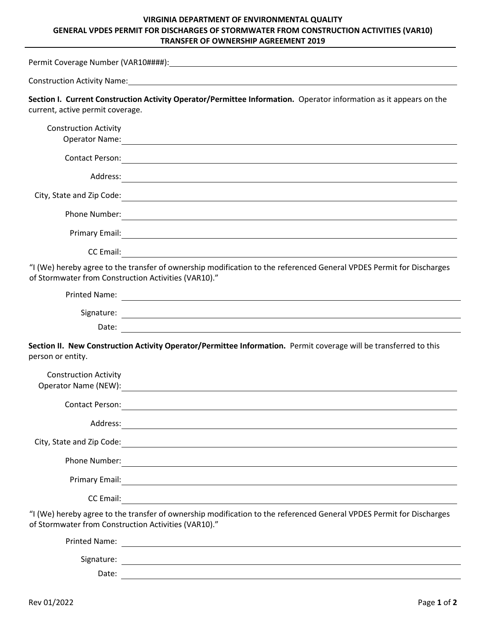## **VIRGINIA DEPARTMENT OF ENVIRONMENTAL QUALITY GENERAL VPDES PERMIT FOR DISCHARGES OF STORMWATER FROM CONSTRUCTION ACTIVITIES (VAR10) TRANSFER OF OWNERSHIP AGREEMENT 2019**

|                                                      | Construction Activity Name: 1999 and 2008 and 2009 and 2009 and 2009 and 2009 and 2009 and 2009 and 2009 and 20                                                                                                                      |
|------------------------------------------------------|--------------------------------------------------------------------------------------------------------------------------------------------------------------------------------------------------------------------------------------|
| current, active permit coverage.                     | Section I. Current Construction Activity Operator/Permittee Information. Operator information as it appears on the                                                                                                                   |
| <b>Construction Activity</b>                         | Operator Name: 1988 and 2008 and 2008 and 2008 and 2008 and 2008 and 2008 and 2008 and 2008 and 2008 and 2008                                                                                                                        |
| Contact Person:                                      | <u> 1989 - Johann Stein, fransk politik (f. 1989)</u>                                                                                                                                                                                |
|                                                      |                                                                                                                                                                                                                                      |
| City, State and Zip Code:                            | <u> 1980 - Jan Alexander Stadt Berlin (d. 1980)</u>                                                                                                                                                                                  |
| Phone Number:                                        | <u> 1989 - Johann Stoff, fransk politik (d. 1989)</u>                                                                                                                                                                                |
|                                                      | Primary Email: <u>Contract Communication of the Communication of the Communication of the Communication</u>                                                                                                                          |
| CC Email:                                            | <u> 1989 - Johann Stein, fransk politik (f. 1989)</u>                                                                                                                                                                                |
| of Stormwater from Construction Activities (VAR10)." | "I (We) hereby agree to the transfer of ownership modification to the referenced General VPDES Permit for Discharges                                                                                                                 |
|                                                      | Printed Name: and the contract of the contract of the contract of the contract of the contract of the contract of the contract of the contract of the contract of the contract of the contract of the contract of the contract       |
|                                                      |                                                                                                                                                                                                                                      |
|                                                      |                                                                                                                                                                                                                                      |
| person or entity.                                    | Section II. New Construction Activity Operator/Permittee Information. Permit coverage will be transferred to this                                                                                                                    |
| <b>Construction Activity</b><br>Operator Name (NEW): |                                                                                                                                                                                                                                      |
| <b>Contact Person:</b>                               |                                                                                                                                                                                                                                      |
| Address:                                             |                                                                                                                                                                                                                                      |
| City, State and Zip Code:                            | <u> 1980 - Johann Stoff, deutscher Stoff, der Stoff, der Stoff, der Stoff, der Stoff, der Stoff, der Stoff, der S</u>                                                                                                                |
| Phone Number:                                        |                                                                                                                                                                                                                                      |
| Primary Email:                                       |                                                                                                                                                                                                                                      |
| CC Email:                                            |                                                                                                                                                                                                                                      |
| of Stormwater from Construction Activities (VAR10)." | "I (We) hereby agree to the transfer of ownership modification to the referenced General VPDES Permit for Discharges                                                                                                                 |
| <b>Printed Name:</b>                                 | <u> 1980 - Andrea State Barbara, amerikan personal dan personal dan personal dan personal dan personal dan personal dan personal dan personal dan personal dan personal dan personal dan personal dan personal dan personal dan </u> |
|                                                      |                                                                                                                                                                                                                                      |
| Date:                                                |                                                                                                                                                                                                                                      |